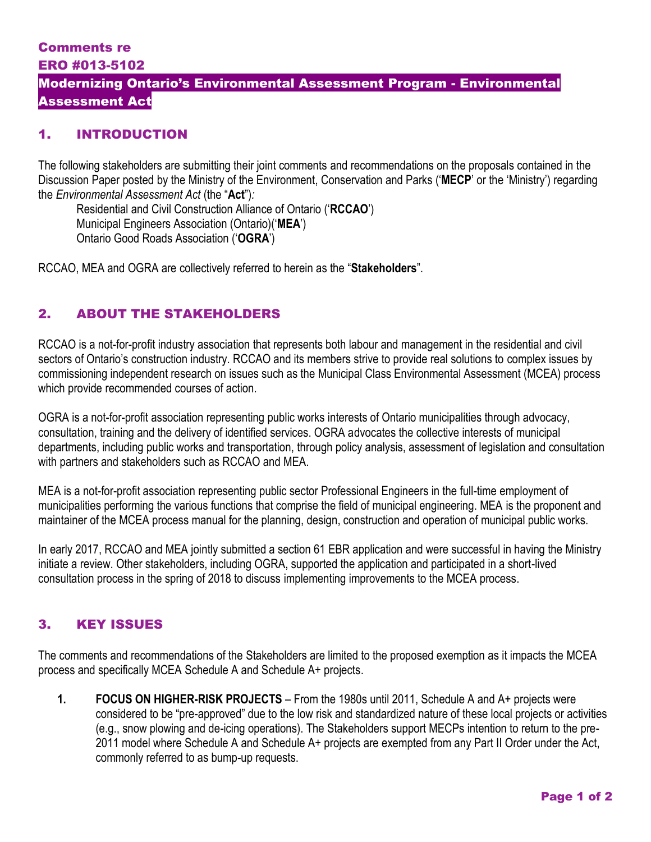#### Comments re ERO #013-5102

# Modernizing Ontario's Environmental Assessment Program - Environmental Assessment Act

# 1. INTRODUCTION

The following stakeholders are submitting their joint comments and recommendations on the proposals contained in the Discussion Paper posted by the Ministry of the Environment, Conservation and Parks ('**MECP**' or the 'Ministry') regarding the *Environmental Assessment Act* (the "**Act**")*:*

Residential and Civil Construction Alliance of Ontario ('**RCCAO**') Municipal Engineers Association (Ontario)('**MEA**') Ontario Good Roads Association ('**OGRA**')

RCCAO, MEA and OGRA are collectively referred to herein as the "**Stakeholders**".

### 2. ABOUT THE STAKEHOLDERS

RCCAO is a not-for-profit industry association that represents both labour and management in the residential and civil sectors of Ontario's construction industry. RCCAO and its members strive to provide real solutions to complex issues by commissioning independent research on issues such as the Municipal Class Environmental Assessment (MCEA) process which provide recommended courses of action.

OGRA is a not-for-profit association representing public works interests of Ontario municipalities through advocacy, consultation, training and the delivery of identified services. OGRA advocates the collective interests of municipal departments, including public works and transportation, through policy analysis, assessment of legislation and consultation with partners and stakeholders such as RCCAO and MEA.

MEA is a not-for-profit association representing public sector Professional Engineers in the full-time employment of municipalities performing the various functions that comprise the field of municipal engineering. MEA is the proponent and maintainer of the MCEA process manual for the planning, design, construction and operation of municipal public works.

In early 2017, RCCAO and MEA jointly submitted a section 61 EBR application and were successful in having the Ministry initiate a review. Other stakeholders, including OGRA, supported the application and participated in a short-lived consultation process in the spring of 2018 to discuss implementing improvements to the MCEA process.

### 3. KEY ISSUES

The comments and recommendations of the Stakeholders are limited to the proposed exemption as it impacts the MCEA process and specifically MCEA Schedule A and Schedule A+ projects.

**1. FOCUS ON HIGHER-RISK PROJECTS** – From the 1980s until 2011, Schedule A and A+ projects were considered to be "pre-approved" due to the low risk and standardized nature of these local projects or activities (e.g., snow plowing and de-icing operations). The Stakeholders support MECPs intention to return to the pre-2011 model where Schedule A and Schedule A+ projects are exempted from any Part II Order under the Act, commonly referred to as bump-up requests.